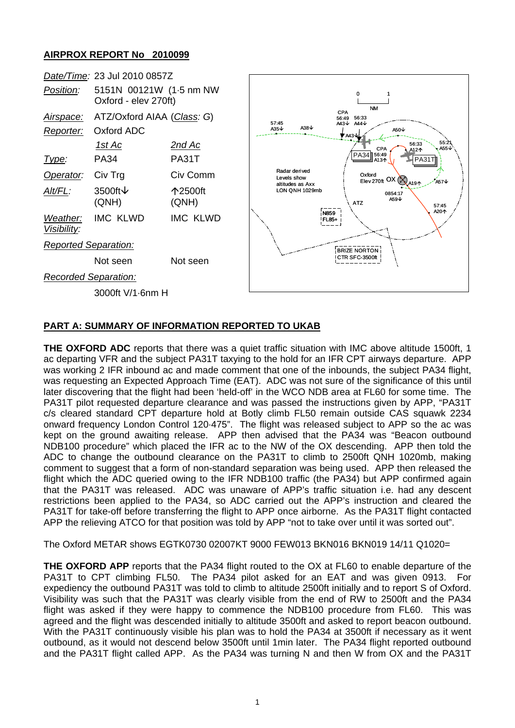## **AIRPROX REPORT No 2010099**

|                             | Date/Time: 23 Jul 2010 0857Z                    |                  |                                                                                                |                                                                                                       |
|-----------------------------|-------------------------------------------------|------------------|------------------------------------------------------------------------------------------------|-------------------------------------------------------------------------------------------------------|
| Position:                   | 5151N 00121W (1.5 nm NW<br>Oxford - elev 270ft) |                  | 0<br><b>NM</b><br>CPA<br>56:33<br>56:49<br>57:45                                               |                                                                                                       |
| Airspace:                   | ATZ/Oxford AIAA (Class: G)                      |                  |                                                                                                |                                                                                                       |
| Reporter:                   | Oxford ADC                                      |                  | A44↓<br>A43 $\downarrow$<br>A38 $\downarrow$<br>A <sub>35</sub> $\downarrow$<br>A50↓<br>♥ A43↓ |                                                                                                       |
|                             | <u>1st Ac</u>                                   | <u>2nd Ac</u>    |                                                                                                | 55:2ั1<br>455↓<br>56:33<br>CPA<br>A12个                                                                |
| Type:                       | <b>PA34</b>                                     | PA31T            |                                                                                                | PA34 56:49<br><b>PA31</b><br>A134                                                                     |
| Operator:                   | Civ Trg                                         | Civ Comm         | Radar derived<br>Levels show                                                                   | Oxford<br>$\frac{\text{Oxtora}}{\text{Elev 270ft}}$ OX $\left(\bigotimes_{A191}$<br><sup>9</sup> A57↓ |
| Alt/FL:                     | 3500ft ↓<br>(QNH)                               | 个2500ft<br>(QNH) | altitudes as Axx<br>LON QNH 1029mb                                                             | 0854:17<br>A59 $\downarrow$<br><b>ATZ</b><br>57:45                                                    |
| Weather:<br>Visibility:     | <b>IMC KLWD</b>                                 | <b>IMC KLWD</b>  |                                                                                                | A20个<br>N859<br><b>FL85+</b>                                                                          |
| <b>Reported Separation:</b> |                                                 |                  | <b>BRIZE NORTON</b>                                                                            |                                                                                                       |
|                             | Not seen                                        | Not seen         |                                                                                                | CTR SFC-3500ft                                                                                        |
| <b>Recorded Separation:</b> |                                                 |                  |                                                                                                |                                                                                                       |
| 3000ft V/1-6nm H            |                                                 |                  |                                                                                                |                                                                                                       |

## **PART A: SUMMARY OF INFORMATION REPORTED TO UKAB**

**THE OXFORD ADC** reports that there was a quiet traffic situation with IMC above altitude 1500ft, 1 ac departing VFR and the subject PA31T taxying to the hold for an IFR CPT airways departure. APP was working 2 IFR inbound ac and made comment that one of the inbounds, the subject PA34 flight, was requesting an Expected Approach Time (EAT). ADC was not sure of the significance of this until later discovering that the flight had been 'held-off' in the WCO NDB area at FL60 for some time. The PA31T pilot requested departure clearance and was passed the instructions given by APP, "PA31T c/s cleared standard CPT departure hold at Botly climb FL50 remain outside CAS squawk 2234 onward frequency London Control 120·475". The flight was released subject to APP so the ac was kept on the ground awaiting release. APP then advised that the PA34 was "Beacon outbound NDB100 procedure" which placed the IFR ac to the NW of the OX descending. APP then told the ADC to change the outbound clearance on the PA31T to climb to 2500ft QNH 1020mb, making comment to suggest that a form of non-standard separation was being used. APP then released the flight which the ADC queried owing to the IFR NDB100 traffic (the PA34) but APP confirmed again that the PA31T was released. ADC was unaware of APP's traffic situation i.e. had any descent restrictions been applied to the PA34, so ADC carried out the APP's instruction and cleared the PA31T for take-off before transferring the flight to APP once airborne. As the PA31T flight contacted APP the relieving ATCO for that position was told by APP "not to take over until it was sorted out".

The Oxford METAR shows EGTK0730 02007KT 9000 FEW013 BKN016 BKN019 14/11 Q1020=

**THE OXFORD APP** reports that the PA34 flight routed to the OX at FL60 to enable departure of the PA31T to CPT climbing FL50. The PA34 pilot asked for an EAT and was given 0913. For expediency the outbound PA31T was told to climb to altitude 2500ft initially and to report S of Oxford. Visibility was such that the PA31T was clearly visible from the end of RW to 2500ft and the PA34 flight was asked if they were happy to commence the NDB100 procedure from FL60. This was agreed and the flight was descended initially to altitude 3500ft and asked to report beacon outbound. With the PA31T continuously visible his plan was to hold the PA34 at 3500ft if necessary as it went outbound, as it would not descend below 3500ft until 1min later. The PA34 flight reported outbound and the PA31T flight called APP. As the PA34 was turning N and then W from OX and the PA31T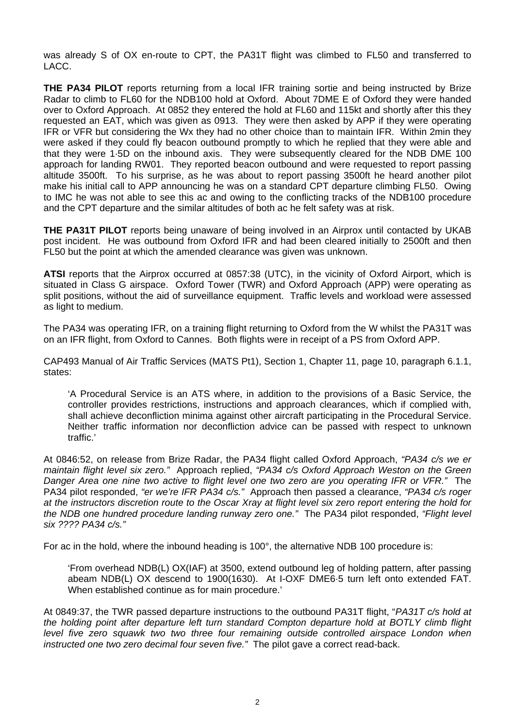was already S of OX en-route to CPT, the PA31T flight was climbed to FL50 and transferred to LACC.

**THE PA34 PILOT** reports returning from a local IFR training sortie and being instructed by Brize Radar to climb to FL60 for the NDB100 hold at Oxford. About 7DME E of Oxford they were handed over to Oxford Approach. At 0852 they entered the hold at FL60 and 115kt and shortly after this they requested an EAT, which was given as 0913. They were then asked by APP if they were operating IFR or VFR but considering the Wx they had no other choice than to maintain IFR. Within 2min they were asked if they could fly beacon outbound promptly to which he replied that they were able and that they were 1·5D on the inbound axis. They were subsequently cleared for the NDB DME 100 approach for landing RW01. They reported beacon outbound and were requested to report passing altitude 3500ft. To his surprise, as he was about to report passing 3500ft he heard another pilot make his initial call to APP announcing he was on a standard CPT departure climbing FL50. Owing to IMC he was not able to see this ac and owing to the conflicting tracks of the NDB100 procedure and the CPT departure and the similar altitudes of both ac he felt safety was at risk.

**THE PA31T PILOT** reports being unaware of being involved in an Airprox until contacted by UKAB post incident. He was outbound from Oxford IFR and had been cleared initially to 2500ft and then FL50 but the point at which the amended clearance was given was unknown.

**ATSI** reports that the Airprox occurred at 0857:38 (UTC), in the vicinity of Oxford Airport, which is situated in Class G airspace. Oxford Tower (TWR) and Oxford Approach (APP) were operating as split positions, without the aid of surveillance equipment. Traffic levels and workload were assessed as light to medium.

The PA34 was operating IFR, on a training flight returning to Oxford from the W whilst the PA31T was on an IFR flight, from Oxford to Cannes. Both flights were in receipt of a PS from Oxford APP.

CAP493 Manual of Air Traffic Services (MATS Pt1), Section 1, Chapter 11, page 10, paragraph 6.1.1, states:

'A Procedural Service is an ATS where, in addition to the provisions of a Basic Service, the controller provides restrictions, instructions and approach clearances, which if complied with, shall achieve deconfliction minima against other aircraft participating in the Procedural Service. Neither traffic information nor deconfliction advice can be passed with respect to unknown traffic.'

At 0846:52, on release from Brize Radar, the PA34 flight called Oxford Approach, *"PA34 c/s we er maintain flight level six zero."* Approach replied, *"PA34 c/s Oxford Approach Weston on the Green Danger Area one nine two active to flight level one two zero are you operating IFR or VFR."* The PA34 pilot responded, *"er we're IFR PA34 c/s."* Approach then passed a clearance, *"PA34 c/s roger at the instructors discretion route to the Oscar Xray at flight level six zero report entering the hold for the NDB one hundred procedure landing runway zero one."* The PA34 pilot responded, *"Flight level six ???? PA34 c/s."*

For ac in the hold, where the inbound heading is 100°, the alternative NDB 100 procedure is:

'From overhead NDB(L) OX(IAF) at 3500, extend outbound leg of holding pattern, after passing abeam NDB(L) OX descend to 1900(1630). At I-OXF DME6·5 turn left onto extended FAT. When established continue as for main procedure.'

At 0849:37, the TWR passed departure instructions to the outbound PA31T flight, "*PA31T c/s hold at the holding point after departure left turn standard Compton departure hold at BOTLY climb flight level five zero squawk two two three four remaining outside controlled airspace London when instructed one two zero decimal four seven five."* The pilot gave a correct read-back.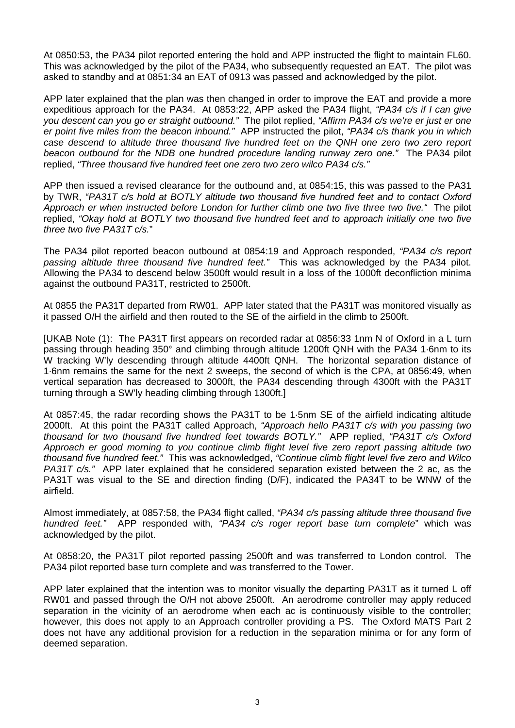At 0850:53, the PA34 pilot reported entering the hold and APP instructed the flight to maintain FL60. This was acknowledged by the pilot of the PA34, who subsequently requested an EAT. The pilot was asked to standby and at 0851:34 an EAT of 0913 was passed and acknowledged by the pilot.

APP later explained that the plan was then changed in order to improve the EAT and provide a more expeditious approach for the PA34. At 0853:22, APP asked the PA34 flight, *"PA34 c/s if I can give you descent can you go er straight outbound."* The pilot replied, *"Affirm PA34 c/s we're er just er one er point five miles from the beacon inbound."* APP instructed the pilot, *"PA34 c/s thank you in which case descend to altitude three thousand five hundred feet on the QNH one zero two zero report beacon outbound for the NDB one hundred procedure landing runway zero one."* The PA34 pilot replied, *"Three thousand five hundred feet one zero two zero wilco PA34 c/s."*

APP then issued a revised clearance for the outbound and, at 0854:15, this was passed to the PA31 by TWR, *"PA31T c/s hold at BOTLY altitude two thousand five hundred feet and to contact Oxford Approach er when instructed before London for further climb one two five three two five."* The pilot replied, *"Okay hold at BOTLY two thousand five hundred feet and to approach initially one two five three two five PA31T c/s.*"

The PA34 pilot reported beacon outbound at 0854:19 and Approach responded, *"PA34 c/s report passing altitude three thousand five hundred feet."* This was acknowledged by the PA34 pilot. Allowing the PA34 to descend below 3500ft would result in a loss of the 1000ft deconfliction minima against the outbound PA31T, restricted to 2500ft.

At 0855 the PA31T departed from RW01. APP later stated that the PA31T was monitored visually as it passed O/H the airfield and then routed to the SE of the airfield in the climb to 2500ft.

[UKAB Note (1): The PA31T first appears on recorded radar at 0856:33 1nm N of Oxford in a L turn passing through heading 350° and climbing through altitude 1200ft QNH with the PA34 1·6nm to its W tracking W'ly descending through altitude 4400ft QNH. The horizontal separation distance of 1·6nm remains the same for the next 2 sweeps, the second of which is the CPA, at 0856:49, when vertical separation has decreased to 3000ft, the PA34 descending through 4300ft with the PA31T turning through a SW'ly heading climbing through 1300ft.]

At 0857:45, the radar recording shows the PA31T to be 1·5nm SE of the airfield indicating altitude 2000ft. At this point the PA31T called Approach, *"Approach hello PA31T c/s with you passing two thousand for two thousand five hundred feet towards BOTLY."* APP replied, *"PA31T c/s Oxford Approach er good morning to you continue climb flight level five zero report passing altitude two thousand five hundred feet."* This was acknowledged, *"Continue climb flight level five zero and Wilco PA31T c/s."* APP later explained that he considered separation existed between the 2 ac, as the PA31T was visual to the SE and direction finding (D/F), indicated the PA34T to be WNW of the airfield.

Almost immediately, at 0857:58, the PA34 flight called, *"PA34 c/s passing altitude three thousand five hundred feet."* APP responded with, *"PA34 c/s roger report base turn complete*" which was acknowledged by the pilot.

At 0858:20, the PA31T pilot reported passing 2500ft and was transferred to London control. The PA34 pilot reported base turn complete and was transferred to the Tower.

APP later explained that the intention was to monitor visually the departing PA31T as it turned L off RW01 and passed through the O/H not above 2500ft. An aerodrome controller may apply reduced separation in the vicinity of an aerodrome when each ac is continuously visible to the controller; however, this does not apply to an Approach controller providing a PS. The Oxford MATS Part 2 does not have any additional provision for a reduction in the separation minima or for any form of deemed separation.